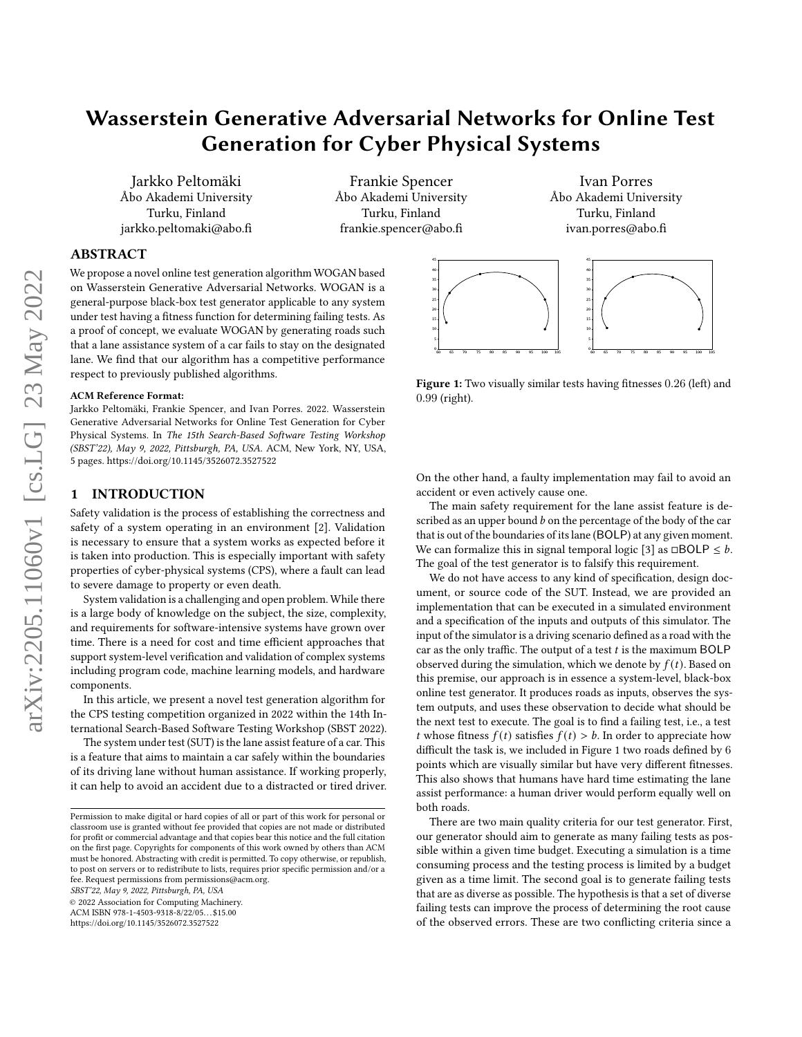# Wasserstein Generative Adversarial Networks for Online Test Generation for Cyber Physical Systems

Jarkko Peltomäki Åbo Akademi University Turku, Finland jarkko.peltomaki@abo.fi

Frankie Spencer Åbo Akademi University Turku, Finland frankie.spencer@abo.fi

## ABSTRACT

We propose a novel online test generation algorithm WOGAN based on Wasserstein Generative Adversarial Networks. WOGAN is a general-purpose black-box test generator applicable to any system under test having a fitness function for determining failing tests. As a proof of concept, we evaluate WOGAN by generating roads such that a lane assistance system of a car fails to stay on the designated lane. We find that our algorithm has a competitive performance respect to previously published algorithms.

#### ACM Reference Format:

Jarkko Peltomäki, Frankie Spencer, and Ivan Porres. 2022. Wasserstein Generative Adversarial Networks for Online Test Generation for Cyber Physical Systems. In The 15th Search-Based Software Testing Workshop (SBST'22), May 9, 2022, Pittsburgh, PA, USA. ACM, New York, NY, USA, [5](#page-4-0) pages.<https://doi.org/10.1145/3526072.3527522>

#### 1 INTRODUCTION

Safety validation is the process of establishing the correctness and safety of a system operating in an environment [\[2\]](#page-4-1). Validation is necessary to ensure that a system works as expected before it is taken into production. This is especially important with safety properties of cyber-physical systems (CPS), where a fault can lead to severe damage to property or even death.

System validation is a challenging and open problem. While there is a large body of knowledge on the subject, the size, complexity, and requirements for software-intensive systems have grown over time. There is a need for cost and time efficient approaches that support system-level verification and validation of complex systems including program code, machine learning models, and hardware components.

In this article, we present a novel test generation algorithm for the CPS testing competition organized in 2022 within the 14th International Search-Based Software Testing Workshop (SBST 2022).

The system under test (SUT) is the lane assist feature of a car. This is a feature that aims to maintain a car safely within the boundaries of its driving lane without human assistance. If working properly, it can help to avoid an accident due to a distracted or tired driver.

SBST'22, May 9, 2022, Pittsburgh, PA, USA

© 2022 Association for Computing Machinery.

ACM ISBN 978-1-4503-9318-8/22/05. . . \$15.00

<https://doi.org/10.1145/3526072.3527522>

Ivan Porres Åbo Akademi University Turku, Finland ivan.porres@abo.fi

<span id="page-0-0"></span>

Figure 1: Two visually similar tests having fitnesses 0.26 (left) and 0.99 (right).

On the other hand, a faulty implementation may fail to avoid an accident or even actively cause one.

The main safety requirement for the lane assist feature is described as an upper bound  $b$  on the percentage of the body of the car that is out of the boundaries of its lane (BOLP) at any given moment. We can formalize this in signal temporal logic [\[3\]](#page-4-2) as  $\Box$ BOLP  $\leq b$ . The goal of the test generator is to falsify this requirement.

We do not have access to any kind of specification, design document, or source code of the SUT. Instead, we are provided an implementation that can be executed in a simulated environment and a specification of the inputs and outputs of this simulator. The input of the simulator is a driving scenario defined as a road with the car as the only traffic. The output of a test  $t$  is the maximum BOLP observed during the simulation, which we denote by  $f(t)$ . Based on this premise, our approach is in essence a system-level, black-box online test generator. It produces roads as inputs, observes the system outputs, and uses these observation to decide what should be the next test to execute. The goal is to find a failing test, i.e., a test t whose fitness  $f(t)$  satisfies  $f(t) > b$ . In order to appreciate how difficult the task is, we included in [Figure 1](#page-0-0) two roads defined by 6 points which are visually similar but have very different fitnesses. This also shows that humans have hard time estimating the lane assist performance: a human driver would perform equally well on both roads.

There are two main quality criteria for our test generator. First, our generator should aim to generate as many failing tests as possible within a given time budget. Executing a simulation is a time consuming process and the testing process is limited by a budget given as a time limit. The second goal is to generate failing tests that are as diverse as possible. The hypothesis is that a set of diverse failing tests can improve the process of determining the root cause of the observed errors. These are two conflicting criteria since a

Permission to make digital or hard copies of all or part of this work for personal or classroom use is granted without fee provided that copies are not made or distributed for profit or commercial advantage and that copies bear this notice and the full citation on the first page. Copyrights for components of this work owned by others than ACM must be honored. Abstracting with credit is permitted. To copy otherwise, or republish, to post on servers or to redistribute to lists, requires prior specific permission and/or a fee. Request permissions from permissions@acm.org.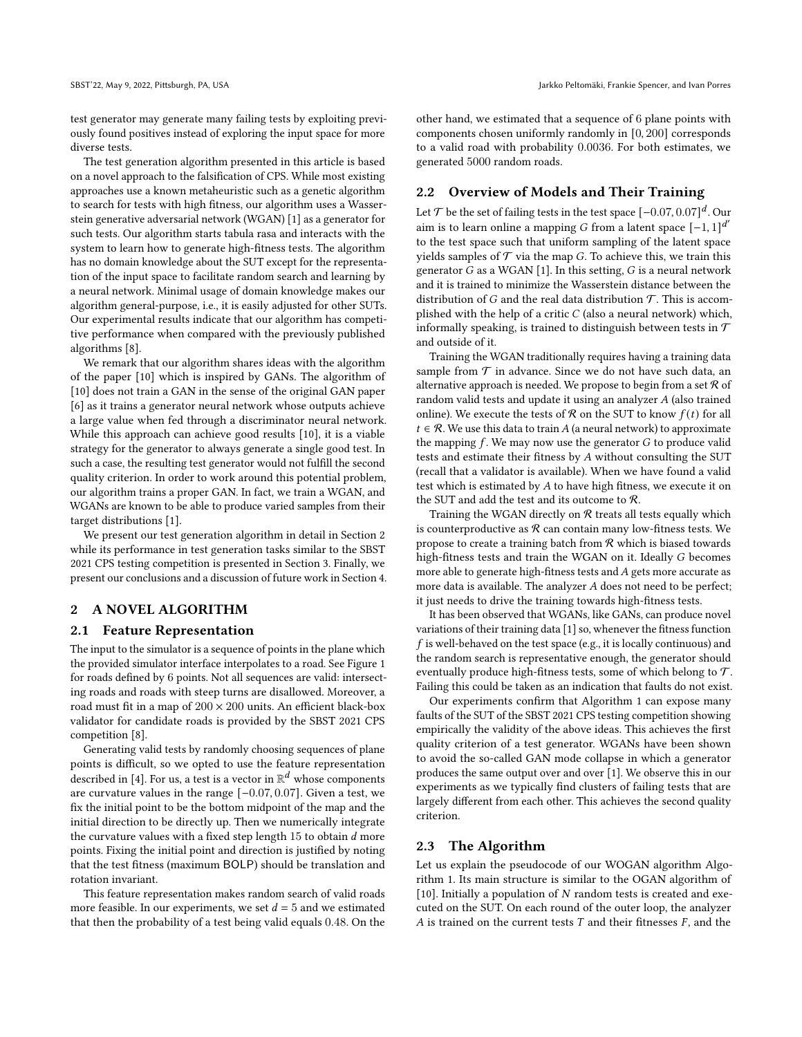test generator may generate many failing tests by exploiting previously found positives instead of exploring the input space for more diverse tests.

The test generation algorithm presented in this article is based on a novel approach to the falsification of CPS. While most existing approaches use a known metaheuristic such as a genetic algorithm to search for tests with high fitness, our algorithm uses a Wasserstein generative adversarial network (WGAN) [\[1\]](#page-4-3) as a generator for such tests. Our algorithm starts tabula rasa and interacts with the system to learn how to generate high-fitness tests. The algorithm has no domain knowledge about the SUT except for the representation of the input space to facilitate random search and learning by a neural network. Minimal usage of domain knowledge makes our algorithm general-purpose, i.e., it is easily adjusted for other SUTs. Our experimental results indicate that our algorithm has competitive performance when compared with the previously published algorithms [\[8\]](#page-4-4).

We remark that our algorithm shares ideas with the algorithm of the paper [\[10\]](#page-4-5) which is inspired by GANs. The algorithm of [\[10\]](#page-4-5) does not train a GAN in the sense of the original GAN paper [\[6\]](#page-4-6) as it trains a generator neural network whose outputs achieve a large value when fed through a discriminator neural network. While this approach can achieve good results [\[10\]](#page-4-5), it is a viable strategy for the generator to always generate a single good test. In such a case, the resulting test generator would not fulfill the second quality criterion. In order to work around this potential problem, our algorithm trains a proper GAN. In fact, we train a WGAN, and WGANs are known to be able to produce varied samples from their target distributions [\[1\]](#page-4-3).

We present our test generation algorithm in detail in [Section 2](#page-1-0) while its performance in test generation tasks similar to the SBST 2021 CPS testing competition is presented in [Section 3.](#page-2-0) Finally, we present our conclusions and a discussion of future work in [Section 4.](#page-4-7)

#### <span id="page-1-0"></span>2 A NOVEL ALGORITHM

#### <span id="page-1-1"></span>2.1 Feature Representation

The input to the simulator is a sequence of points in the plane which the provided simulator interface interpolates to a road. See [Figure 1](#page-0-0) for roads defined by 6 points. Not all sequences are valid: intersecting roads and roads with steep turns are disallowed. Moreover, a road must fit in a map of  $200 \times 200$  units. An efficient black-box validator for candidate roads is provided by the SBST 2021 CPS competition [\[8\]](#page-4-4).

Generating valid tests by randomly choosing sequences of plane points is difficult, so we opted to use the feature representation described in [\[4\]](#page-4-8). For us, a test is a vector in  $\mathbb{R}^d$  whose components are curvature values in the range [−0.07, 0.07]. Given a test, we fix the initial point to be the bottom midpoint of the map and the initial direction to be directly up. Then we numerically integrate the curvature values with a fixed step length  $15$  to obtain  $d$  more points. Fixing the initial point and direction is justified by noting that the test fitness (maximum BOLP) should be translation and rotation invariant.

This feature representation makes random search of valid roads more feasible. In our experiments, we set  $d = 5$  and we estimated that then the probability of a test being valid equals 0.48. On the other hand, we estimated that a sequence of 6 plane points with components chosen uniformly randomly in [0, 200] corresponds to a valid road with probability 0.0036. For both estimates, we generated 5000 random roads.

## 2.2 Overview of Models and Their Training

Let  $\mathcal T$  be the set of failing tests in the test space  $[-0.07,0.07]^d$ . Our aim is to learn online a mapping *G* from a latent space  $[-1, 1]^{d'}$ to the test space such that uniform sampling of the latent space yields samples of  $T$  via the map G. To achieve this, we train this generator  $G$  as a WGAN [\[1\]](#page-4-3). In this setting,  $G$  is a neural network and it is trained to minimize the Wasserstein distance between the distribution of G and the real data distribution  $\mathcal T$ . This is accomplished with the help of a critic  $C$  (also a neural network) which, informally speaking, is trained to distinguish between tests in  $\mathcal T$ and outside of it.

Training the WGAN traditionally requires having a training data sample from  $\mathcal T$  in advance. Since we do not have such data, an alternative approach is needed. We propose to begin from a set  $R$  of random valid tests and update it using an analyzer  $A$  (also trained online). We execute the tests of  $R$  on the SUT to know  $f(t)$  for all  $t \in \mathcal{R}$ . We use this data to train A (a neural network) to approximate the mapping  $f$ . We may now use the generator  $G$  to produce valid tests and estimate their fitness by  $A$  without consulting the SUT (recall that a validator is available). When we have found a valid test which is estimated by  $A$  to have high fitness, we execute it on the SUT and add the test and its outcome to R.

Training the WGAN directly on  $R$  treats all tests equally which is counterproductive as  $R$  can contain many low-fitness tests. We propose to create a training batch from  $R$  which is biased towards high-fitness tests and train the WGAN on it. Ideally G becomes more able to generate high-fitness tests and  $A$  gets more accurate as more data is available. The analyzer  $A$  does not need to be perfect; it just needs to drive the training towards high-fitness tests.

It has been observed that WGANs, like GANs, can produce novel variations of their training data [\[1\]](#page-4-3) so, whenever the fitness function  $f$  is well-behaved on the test space (e.g., it is locally continuous) and the random search is representative enough, the generator should eventually produce high-fitness tests, some of which belong to  $\mathcal{T}$ . Failing this could be taken as an indication that faults do not exist.

Our experiments confirm that [Algorithm 1](#page-2-1) can expose many faults of the SUT of the SBST 2021 CPS testing competition showing empirically the validity of the above ideas. This achieves the first quality criterion of a test generator. WGANs have been shown to avoid the so-called GAN mode collapse in which a generator produces the same output over and over [\[1\]](#page-4-3). We observe this in our experiments as we typically find clusters of failing tests that are largely different from each other. This achieves the second quality criterion.

### 2.3 The Algorithm

Let us explain the pseudocode of our WOGAN algorithm [Algo](#page-2-1)[rithm 1.](#page-2-1) Its main structure is similar to the OGAN algorithm of [\[10\]](#page-4-5). Initially a population of  $N$  random tests is created and executed on the SUT. On each round of the outer loop, the analyzer  $A$  is trained on the current tests  $T$  and their fitnesses  $F$ , and the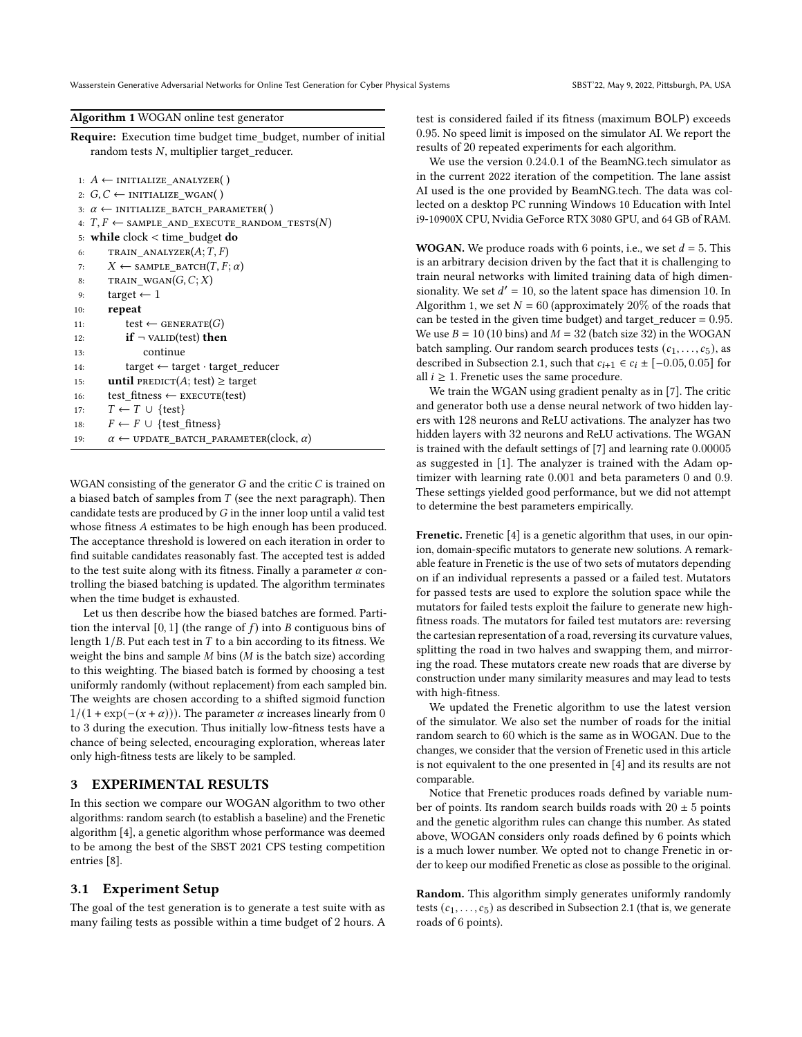Wasserstein Generative Adversarial Networks for Online Test Generation for Cyber Physical Systems SBST'22, May 9, 2022, Pittsburgh, PA, USA

<span id="page-2-1"></span>Algorithm 1 WOGAN online test generator

Require: Execution time budget time\_budget, number of initial random tests  $N$ , multiplier target\_reducer.

|     | 1: $A \leftarrow$ INITIALIZE ANALYZER()                      |
|-----|--------------------------------------------------------------|
|     | 2: $G, C \leftarrow$ INITIALIZE WGAN()                       |
|     | 3: $\alpha \leftarrow$ INITIALIZE BATCH PARAMETER()          |
|     | 4: $T, F \leftarrow$ SAMPLE_AND_EXECUTE_RANDOM_TESTS(N)      |
|     | 5: while clock $\lt$ time budget do                          |
| 6:  | TRAIN ANALYZER $(A;T,F)$                                     |
| 7:  | $X \leftarrow$ SAMPLE BATCH $(T, F; \alpha)$                 |
| 8:  | TRAIN WGAN $(G, C; X)$                                       |
| 9:  | target $\leftarrow$ 1                                        |
| 10: | repeat                                                       |
| 11: | test $\leftarrow$ GENERATE(G)                                |
| 12: | $if \neg$ valid (test) then                                  |
| 13: | continue                                                     |
| 14: | $target \leftarrow target \cdot target\_reduce$              |
| 15: | <b>until</b> PREDICT(A; test) $\geq$ target                  |
| 16: | test fitness $\leftarrow$ EXECUTE(test)                      |
| 17: | $T \leftarrow T \cup \{test\}$                               |
| 18: | $F \leftarrow F \cup \{test \ fitness\}$                     |
| 19: | $\alpha \leftarrow$ UPDATE BATCH PARAMETER(clock, $\alpha$ ) |
|     |                                                              |

WGAN consisting of the generator  $G$  and the critic  $C$  is trained on a biased batch of samples from  $T$  (see the next paragraph). Then candidate tests are produced by  $G$  in the inner loop until a valid test whose fitness A estimates to be high enough has been produced. The acceptance threshold is lowered on each iteration in order to find suitable candidates reasonably fast. The accepted test is added to the test suite along with its fitness. Finally a parameter  $\alpha$  controlling the biased batching is updated. The algorithm terminates when the time budget is exhausted.

Let us then describe how the biased batches are formed. Partition the interval  $[0, 1]$  (the range of  $f$ ) into  $B$  contiguous bins of length  $1/B$ . Put each test in  $T$  to a bin according to its fitness. We weight the bins and sample  $M$  bins ( $M$  is the batch size) according to this weighting. The biased batch is formed by choosing a test uniformly randomly (without replacement) from each sampled bin. The weights are chosen according to a shifted sigmoid function  $1/(1 + \exp(-(x + \alpha)))$ . The parameter  $\alpha$  increases linearly from 0 to 3 during the execution. Thus initially low-fitness tests have a chance of being selected, encouraging exploration, whereas later only high-fitness tests are likely to be sampled.

# <span id="page-2-0"></span>3 EXPERIMENTAL RESULTS

In this section we compare our WOGAN algorithm to two other algorithms: random search (to establish a baseline) and the Frenetic algorithm [\[4\]](#page-4-8), a genetic algorithm whose performance was deemed to be among the best of the SBST 2021 CPS testing competition entries [\[8\]](#page-4-4).

#### 3.1 Experiment Setup

The goal of the test generation is to generate a test suite with as many failing tests as possible within a time budget of 2 hours. A test is considered failed if its fitness (maximum BOLP) exceeds 0.95. No speed limit is imposed on the simulator AI. We report the results of 20 repeated experiments for each algorithm.

We use the version 0.24.0.1 of the BeamNG.tech simulator as in the current 2022 iteration of the competition. The lane assist AI used is the one provided by BeamNG.tech. The data was collected on a desktop PC running Windows 10 Education with Intel i9-10900X CPU, Nvidia GeForce RTX 3080 GPU, and 64 GB of RAM.

**WOGAN.** We produce roads with 6 points, i.e., we set  $d = 5$ . This is an arbitrary decision driven by the fact that it is challenging to train neural networks with limited training data of high dimensionality. We set  $d' = 10$ , so the latent space has dimension 10. In [Algorithm 1,](#page-2-1) we set  $N = 60$  (approximately 20% of the roads that can be tested in the given time budget) and target\_reducer =  $0.95$ . We use  $B = 10 (10 \text{ bins})$  and  $M = 32$  (batch size 32) in the WOGAN batch sampling. Our random search produces tests  $(c_1, \ldots, c_5)$ , as described in [Subsection 2.1,](#page-1-1) such that  $c_{i+1} \in c_i \pm [-0.05, 0.05]$  for all  $i \geq 1$ . Frenetic uses the same procedure.

We train the WGAN using gradient penalty as in [\[7\]](#page-4-9). The critic and generator both use a dense neural network of two hidden layers with 128 neurons and ReLU activations. The analyzer has two hidden layers with 32 neurons and ReLU activations. The WGAN is trained with the default settings of [\[7\]](#page-4-9) and learning rate 0.00005 as suggested in [\[1\]](#page-4-3). The analyzer is trained with the Adam optimizer with learning rate 0.001 and beta parameters 0 and 0.9. These settings yielded good performance, but we did not attempt to determine the best parameters empirically.

Frenetic. Frenetic [\[4\]](#page-4-8) is a genetic algorithm that uses, in our opinion, domain-specific mutators to generate new solutions. A remarkable feature in Frenetic is the use of two sets of mutators depending on if an individual represents a passed or a failed test. Mutators for passed tests are used to explore the solution space while the mutators for failed tests exploit the failure to generate new highfitness roads. The mutators for failed test mutators are: reversing the cartesian representation of a road, reversing its curvature values, splitting the road in two halves and swapping them, and mirroring the road. These mutators create new roads that are diverse by construction under many similarity measures and may lead to tests with high-fitness.

We updated the Frenetic algorithm to use the latest version of the simulator. We also set the number of roads for the initial random search to 60 which is the same as in WOGAN. Due to the changes, we consider that the version of Frenetic used in this article is not equivalent to the one presented in [\[4\]](#page-4-8) and its results are not comparable.

Notice that Frenetic produces roads defined by variable number of points. Its random search builds roads with  $20 \pm 5$  points and the genetic algorithm rules can change this number. As stated above, WOGAN considers only roads defined by 6 points which is a much lower number. We opted not to change Frenetic in order to keep our modified Frenetic as close as possible to the original.

Random. This algorithm simply generates uniformly randomly tests  $(c_1, \ldots, c_5)$  as described in [Subsection 2.1](#page-1-1) (that is, we generate roads of 6 points).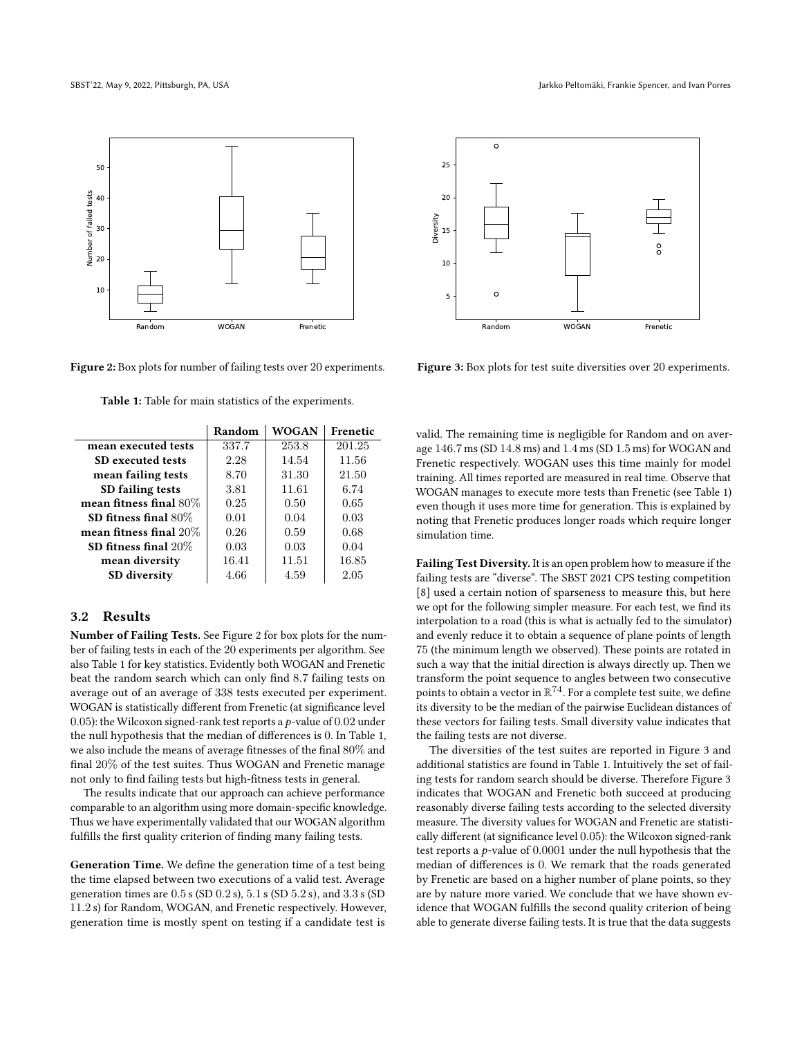<span id="page-3-0"></span>

Figure 2: Box plots for number of failing tests over 20 experiments.

<span id="page-3-1"></span>

SD fitness final  $20\%$  0.03 0.03 0.04 mean diversity | 16.41 | 11.51 | 16.85 **SD diversity**  $4.66$   $4.59$   $2.05$ 

Table 1: Table for main statistics of the experiments.

# 3.2 Results

Number of Failing Tests. See [Figure 2](#page-3-0) for box plots for the number of failing tests in each of the 20 experiments per algorithm. See also [Table 1](#page-3-1) for key statistics. Evidently both WOGAN and Frenetic beat the random search which can only find 8.7 failing tests on average out of an average of 338 tests executed per experiment. WOGAN is statistically different from Frenetic (at significance level 0.05): the Wilcoxon signed-rank test reports a  $p$ -value of 0.02 under the null hypothesis that the median of differences is 0. In [Table 1,](#page-3-1) we also include the means of average fitnesses of the final 80% and final 20% of the test suites. Thus WOGAN and Frenetic manage not only to find failing tests but high-fitness tests in general.

The results indicate that our approach can achieve performance comparable to an algorithm using more domain-specific knowledge. Thus we have experimentally validated that our WOGAN algorithm fulfills the first quality criterion of finding many failing tests.

Generation Time. We define the generation time of a test being the time elapsed between two executions of a valid test. Average generation times are 0.5 s (SD 0.2 s), 5.1 s (SD 5.2 s), and 3.3 s (SD 11.2 s) for Random, WOGAN, and Frenetic respectively. However, generation time is mostly spent on testing if a candidate test is

<span id="page-3-2"></span>

Figure 3: Box plots for test suite diversities over 20 experiments.

valid. The remaining time is negligible for Random and on average 146.7 ms (SD 14.8 ms) and 1.4 ms (SD 1.5 ms) for WOGAN and Frenetic respectively. WOGAN uses this time mainly for model training. All times reported are measured in real time. Observe that WOGAN manages to execute more tests than Frenetic (see [Table 1\)](#page-3-1) even though it uses more time for generation. This is explained by noting that Frenetic produces longer roads which require longer simulation time.

Failing Test Diversity. It is an open problem how to measure if the failing tests are "diverse". The SBST 2021 CPS testing competition [\[8\]](#page-4-4) used a certain notion of sparseness to measure this, but here we opt for the following simpler measure. For each test, we find its interpolation to a road (this is what is actually fed to the simulator) and evenly reduce it to obtain a sequence of plane points of length 75 (the minimum length we observed). These points are rotated in such a way that the initial direction is always directly up. Then we transform the point sequence to angles between two consecutive points to obtain a vector in  $\mathbb{R}^{74}$ . For a complete test suite, we define its diversity to be the median of the pairwise Euclidean distances of these vectors for failing tests. Small diversity value indicates that the failing tests are not diverse.

The diversities of the test suites are reported in [Figure 3](#page-3-2) and additional statistics are found in [Table 1.](#page-3-1) Intuitively the set of failing tests for random search should be diverse. Therefore [Figure 3](#page-3-2) indicates that WOGAN and Frenetic both succeed at producing reasonably diverse failing tests according to the selected diversity measure. The diversity values for WOGAN and Frenetic are statistically different (at significance level 0.05): the Wilcoxon signed-rank test reports a  $p$ -value of 0.0001 under the null hypothesis that the median of differences is 0. We remark that the roads generated by Frenetic are based on a higher number of plane points, so they are by nature more varied. We conclude that we have shown evidence that WOGAN fulfills the second quality criterion of being able to generate diverse failing tests. It is true that the data suggests